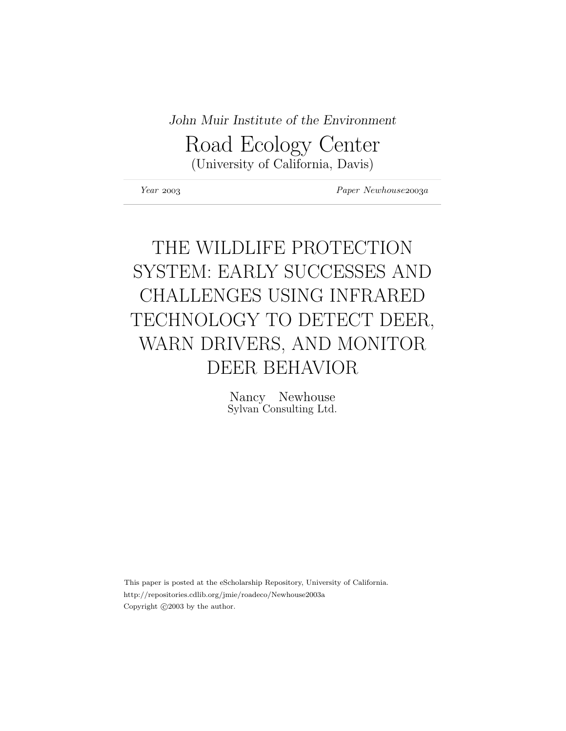## John Muir Institute of the Environment

Road Ecology Center (University of California, Davis)

Year 2003 Paper Newhouse 2003a

# THE WILDLIFE PROTECTION SYSTEM: EARLY SUCCESSES AND CHALLENGES USING INFRARED TECHNOLOGY TO DETECT DEER, WARN DRIVERS, AND MONITOR DEER BEHAVIOR

Nancy Newhouse Sylvan Consulting Ltd.

This paper is posted at the eScholarship Repository, University of California. http://repositories.cdlib.org/jmie/roadeco/Newhouse2003a Copyright  $\odot$ 2003 by the author.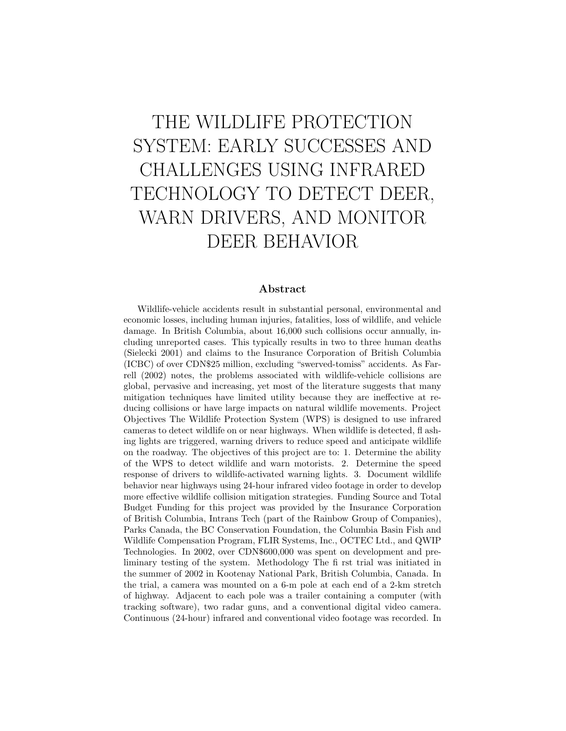# THE WILDLIFE PROTECTION SYSTEM: EARLY SUCCESSES AND CHALLENGES USING INFRARED TECHNOLOGY TO DETECT DEER, WARN DRIVERS, AND MONITOR DEER BEHAVIOR

#### Abstract

Wildlife-vehicle accidents result in substantial personal, environmental and economic losses, including human injuries, fatalities, loss of wildlife, and vehicle damage. In British Columbia, about 16,000 such collisions occur annually, including unreported cases. This typically results in two to three human deaths (Sielecki 2001) and claims to the Insurance Corporation of British Columbia (ICBC) of over CDN\$25 million, excluding "swerved-tomiss" accidents. As Farrell (2002) notes, the problems associated with wildlife-vehicle collisions are global, pervasive and increasing, yet most of the literature suggests that many mitigation techniques have limited utility because they are ineffective at reducing collisions or have large impacts on natural wildlife movements. Project Objectives The Wildlife Protection System (WPS) is designed to use infrared cameras to detect wildlife on or near highways. When wildlife is detected, fl ashing lights are triggered, warning drivers to reduce speed and anticipate wildlife on the roadway. The objectives of this project are to: 1. Determine the ability of the WPS to detect wildlife and warn motorists. 2. Determine the speed response of drivers to wildlife-activated warning lights. 3. Document wildlife behavior near highways using 24-hour infrared video footage in order to develop more effective wildlife collision mitigation strategies. Funding Source and Total Budget Funding for this project was provided by the Insurance Corporation of British Columbia, Intrans Tech (part of the Rainbow Group of Companies), Parks Canada, the BC Conservation Foundation, the Columbia Basin Fish and Wildlife Compensation Program, FLIR Systems, Inc., OCTEC Ltd., and QWIP Technologies. In 2002, over CDN\$600,000 was spent on development and preliminary testing of the system. Methodology The fi rst trial was initiated in the summer of 2002 in Kootenay National Park, British Columbia, Canada. In the trial, a camera was mounted on a 6-m pole at each end of a 2-km stretch of highway. Adjacent to each pole was a trailer containing a computer (with tracking software), two radar guns, and a conventional digital video camera. Continuous (24-hour) infrared and conventional video footage was recorded. In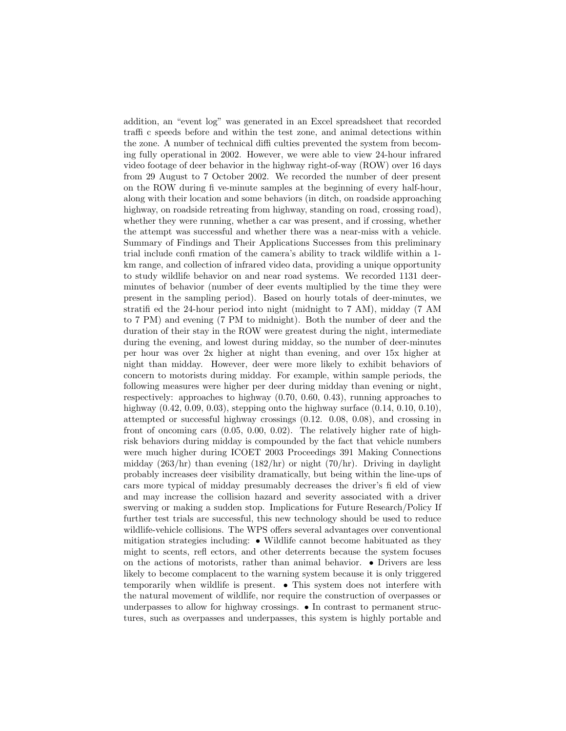addition, an "event log" was generated in an Excel spreadsheet that recorded traffi c speeds before and within the test zone, and animal detections within the zone. A number of technical diffi culties prevented the system from becoming fully operational in 2002. However, we were able to view 24-hour infrared video footage of deer behavior in the highway right-of-way (ROW) over 16 days from 29 August to 7 October 2002. We recorded the number of deer present on the ROW during fi ve-minute samples at the beginning of every half-hour, along with their location and some behaviors (in ditch, on roadside approaching highway, on roadside retreating from highway, standing on road, crossing road), whether they were running, whether a car was present, and if crossing, whether the attempt was successful and whether there was a near-miss with a vehicle. Summary of Findings and Their Applications Successes from this preliminary trial include confi rmation of the camera's ability to track wildlife within a 1 km range, and collection of infrared video data, providing a unique opportunity to study wildlife behavior on and near road systems. We recorded 1131 deerminutes of behavior (number of deer events multiplied by the time they were present in the sampling period). Based on hourly totals of deer-minutes, we stratifi ed the 24-hour period into night (midnight to 7 AM), midday (7 AM to 7 PM) and evening (7 PM to midnight). Both the number of deer and the duration of their stay in the ROW were greatest during the night, intermediate during the evening, and lowest during midday, so the number of deer-minutes per hour was over 2x higher at night than evening, and over 15x higher at night than midday. However, deer were more likely to exhibit behaviors of concern to motorists during midday. For example, within sample periods, the following measures were higher per deer during midday than evening or night, respectively: approaches to highway (0.70, 0.60, 0.43), running approaches to highway  $(0.42, 0.09, 0.03)$ , stepping onto the highway surface  $(0.14, 0.10, 0.10)$ , attempted or successful highway crossings (0.12. 0.08, 0.08), and crossing in front of oncoming cars (0.05, 0.00, 0.02). The relatively higher rate of highrisk behaviors during midday is compounded by the fact that vehicle numbers were much higher during ICOET 2003 Proceedings 391 Making Connections midday  $(263/hr)$  than evening  $(182/hr)$  or night  $(70/hr)$ . Driving in daylight probably increases deer visibility dramatically, but being within the line-ups of cars more typical of midday presumably decreases the driver's fi eld of view and may increase the collision hazard and severity associated with a driver swerving or making a sudden stop. Implications for Future Research/Policy If further test trials are successful, this new technology should be used to reduce wildlife-vehicle collisions. The WPS offers several advantages over conventional mitigation strategies including: • Wildlife cannot become habituated as they might to scents, refl ectors, and other deterrents because the system focuses on the actions of motorists, rather than animal behavior. • Drivers are less likely to become complacent to the warning system because it is only triggered temporarily when wildlife is present. • This system does not interfere with the natural movement of wildlife, nor require the construction of overpasses or underpasses to allow for highway crossings. • In contrast to permanent structures, such as overpasses and underpasses, this system is highly portable and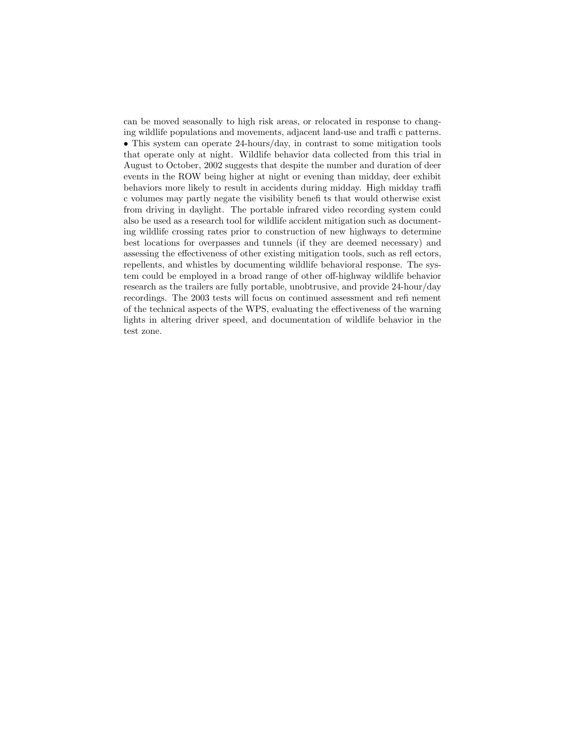can be moved seasonally to high risk areas, or relocated in response to changing wildlife populations and movements, adjacent land-use and traffi c patterns. • This system can operate 24-hours/day, in contrast to some mitigation tools that operate only at night. Wildlife behavior data collected from this trial in August to October, 2002 suggests that despite the number and duration of deer events in the ROW being higher at night or evening than midday, deer exhibit behaviors more likely to result in accidents during midday. High midday traffi c volumes may partly negate the visibility benefi ts that would otherwise exist from driving in daylight. The portable infrared video recording system could also be used as a research tool for wildlife accident mitigation such as documenting wildlife crossing rates prior to construction of new highways to determine best locations for overpasses and tunnels (if they are deemed necessary) and assessing the effectiveness of other existing mitigation tools, such as refl ectors, repellents, and whistles by documenting wildlife behavioral response. The system could be employed in a broad range of other off-highway wildlife behavior research as the trailers are fully portable, unobtrusive, and provide 24-hour/day recordings. The 2003 tests will focus on continued assessment and refi nement of the technical aspects of the WPS, evaluating the effectiveness of the warning lights in altering driver speed, and documentation of wildlife behavior in the test zone.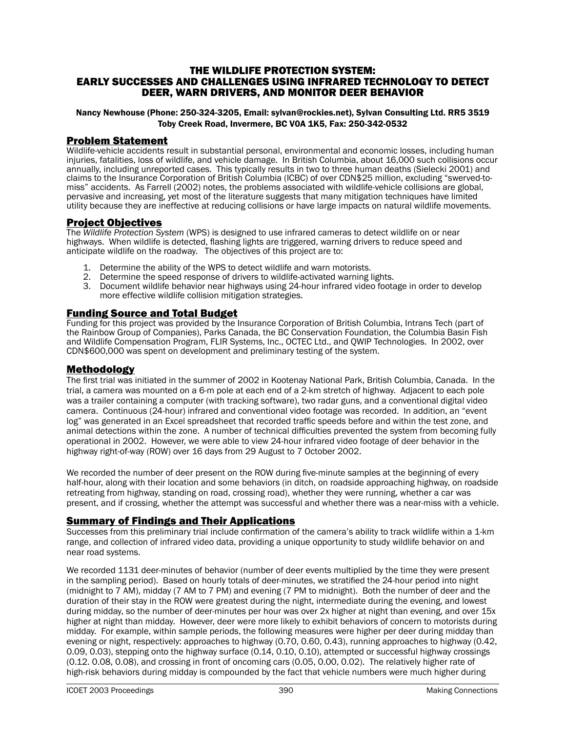#### THE WILDLIFE PROTECTION SYSTEM: EARLY SUCCESSES AND CHALLENGES USING INFRARED TECHNOLOGY TO DETECT DEER, WARN DRIVERS, AND MONITOR DEER BEHAVIOR

#### Nancy Newhouse (Phone: 250-324-3205, Email: sylvan@rockies.net), Sylvan Consulting Ltd. RR5 3519 Toby Creek Road, Invermere, BC V0A 1K5, Fax: 250-342-0532

#### Problem Statement

Wildlife-vehicle accidents result in substantial personal, environmental and economic losses, including human injuries, fatalities, loss of wildlife, and vehicle damage. In British Columbia, about 16,000 such collisions occur annually, including unreported cases. This typically results in two to three human deaths (Sielecki 2001) and claims to the Insurance Corporation of British Columbia (ICBC) of over CDN\$25 million, excluding "swerved-tomiss" accidents. As Farrell (2002) notes, the problems associated with wildlife-vehicle collisions are global, pervasive and increasing, yet most of the literature suggests that many mitigation techniques have limited utility because they are ineffective at reducing collisions or have large impacts on natural wildlife movements.

## Project Objectives

The *Wildlife Protection System* (WPS) is designed to use infrared cameras to detect wildlife on or near highways. When wildlife is detected, flashing lights are triggered, warning drivers to reduce speed and anticipate wildlife on the roadway. The objectives of this project are to:

- 1. Determine the ability of the WPS to detect wildlife and warn motorists.
- 2. Determine the speed response of drivers to wildlife-activated warning lights.
- 3. Document wildlife behavior near highways using 24-hour infrared video footage in order to develop more effective wildlife collision mitigation strategies.

## Funding Source and Total Budget

Funding for this project was provided by the Insurance Corporation of British Columbia, Intrans Tech (part of the Rainbow Group of Companies), Parks Canada, the BC Conservation Foundation, the Columbia Basin Fish and Wildlife Compensation Program, FLIR Systems, Inc., OCTEC Ltd., and QWIP Technologies. In 2002, over CDN\$600,000 was spent on development and preliminary testing of the system.

## Methodology

The first trial was initiated in the summer of 2002 in Kootenay National Park, British Columbia, Canada. In the trial, a camera was mounted on a 6-m pole at each end of a 2-km stretch of highway. Adjacent to each pole was a trailer containing a computer (with tracking software), two radar guns, and a conventional digital video camera. Continuous (24-hour) infrared and conventional video footage was recorded. In addition, an "event log" was generated in an Excel spreadsheet that recorded traffic speeds before and within the test zone, and animal detections within the zone. A number of technical difficulties prevented the system from becoming fully operational in 2002. However, we were able to view 24-hour infrared video footage of deer behavior in the highway right-of-way (ROW) over 16 days from 29 August to 7 October 2002.

We recorded the number of deer present on the ROW during five-minute samples at the beginning of every half-hour, along with their location and some behaviors (in ditch, on roadside approaching highway, on roadside retreating from highway, standing on road, crossing road), whether they were running, whether a car was present, and if crossing, whether the attempt was successful and whether there was a near-miss with a vehicle.

## **Summary of Findings and Their Applications**

Successes from this preliminary trial include confirmation of the camera's ability to track wildlife within a 1-km range, and collection of infrared video data, providing a unique opportunity to study wildlife behavior on and near road systems.

We recorded 1131 deer-minutes of behavior (number of deer events multiplied by the time they were present in the sampling period). Based on hourly totals of deer-minutes, we stratified the 24-hour period into night (midnight to 7 AM), midday (7 AM to 7 PM) and evening (7 PM to midnight). Both the number of deer and the duration of their stay in the ROW were greatest during the night, intermediate during the evening, and lowest during midday, so the number of deer-minutes per hour was over 2x higher at night than evening, and over 15x higher at night than midday. However, deer were more likely to exhibit behaviors of concern to motorists during midday. For example, within sample periods, the following measures were higher per deer during midday than evening or night, respectively: approaches to highway (0.70, 0.60, 0.43), running approaches to highway (0.42, 0.09, 0.03), stepping onto the highway surface (0.14, 0.10, 0.10), attempted or successful highway crossings (0.12. 0.08, 0.08), and crossing in front of oncoming cars (0.05, 0.00, 0.02). The relatively higher rate of high-risk behaviors during midday is compounded by the fact that vehicle numbers were much higher during